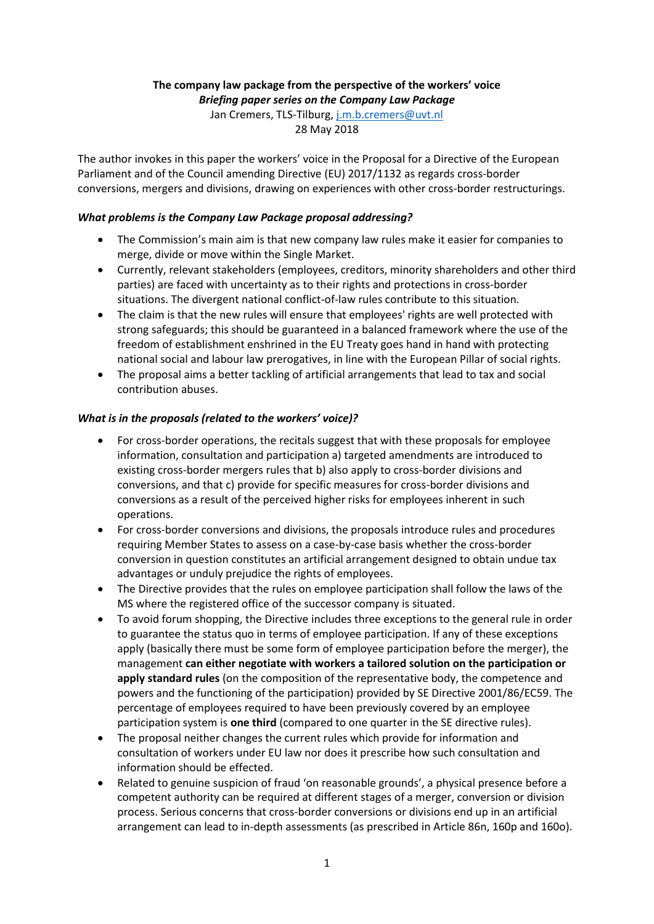# **The company law package from the perspective of the workers' voice**

*Briefing paper series on the Company Law Package*

Jan Cremers, TLS-Tilburg, [j.m.b.cremers@uvt.nl](mailto:j.m.b.cremers@uvt.nl)

28 May 2018

The author invokes in this paper the workers' voice in the Proposal for a Directive of the European Parliament and of the Council amending Directive (EU) 2017/1132 as regards cross-border conversions, mergers and divisions, drawing on experiences with other cross-border restructurings.

## *What problems is the Company Law Package proposal addressing?*

- The Commission's main aim is that new company law rules make it easier for companies to merge, divide or move within the Single Market.
- Currently, relevant stakeholders (employees, creditors, minority shareholders and other third parties) are faced with uncertainty as to their rights and protections in cross-border situations. The divergent national conflict-of-law rules contribute to this situation.
- The claim is that the new rules will ensure that employees' rights are well protected with strong safeguards; this should be guaranteed in a balanced framework where the use of the freedom of establishment enshrined in the EU Treaty goes hand in hand with protecting national social and labour law prerogatives, in line with the European Pillar of social rights.
- The proposal aims a better tackling of artificial arrangements that lead to tax and social contribution abuses.

# *What is in the proposals (related to the workers' voice)?*

- For cross-border operations, the recitals suggest that with these proposals for employee information, consultation and participation a) targeted amendments are introduced to existing cross-border mergers rules that b) also apply to cross-border divisions and conversions, and that c) provide for specific measures for cross-border divisions and conversions as a result of the perceived higher risks for employees inherent in such operations.
- For cross-border conversions and divisions, the proposals introduce rules and procedures requiring Member States to assess on a case-by-case basis whether the cross-border conversion in question constitutes an artificial arrangement designed to obtain undue tax advantages or unduly prejudice the rights of employees.
- The Directive provides that the rules on employee participation shall follow the laws of the MS where the registered office of the successor company is situated.
- To avoid forum shopping, the Directive includes three exceptions to the general rule in order to guarantee the status quo in terms of employee participation. If any of these exceptions apply (basically there must be some form of employee participation before the merger), the management **can either negotiate with workers a tailored solution on the participation or apply standard rules** (on the composition of the representative body, the competence and powers and the functioning of the participation) provided by SE Directive 2001/86/EC59. The percentage of employees required to have been previously covered by an employee participation system is **one third** (compared to one quarter in the SE directive rules).
- The proposal neither changes the current rules which provide for information and consultation of workers under EU law nor does it prescribe how such consultation and information should be effected.
- Related to genuine suspicion of fraud 'on reasonable grounds', a physical presence before a competent authority can be required at different stages of a merger, conversion or division process. Serious concerns that cross-border conversions or divisions end up in an artificial arrangement can lead to in-depth assessments (as prescribed in Article 86n, 160p and 160o).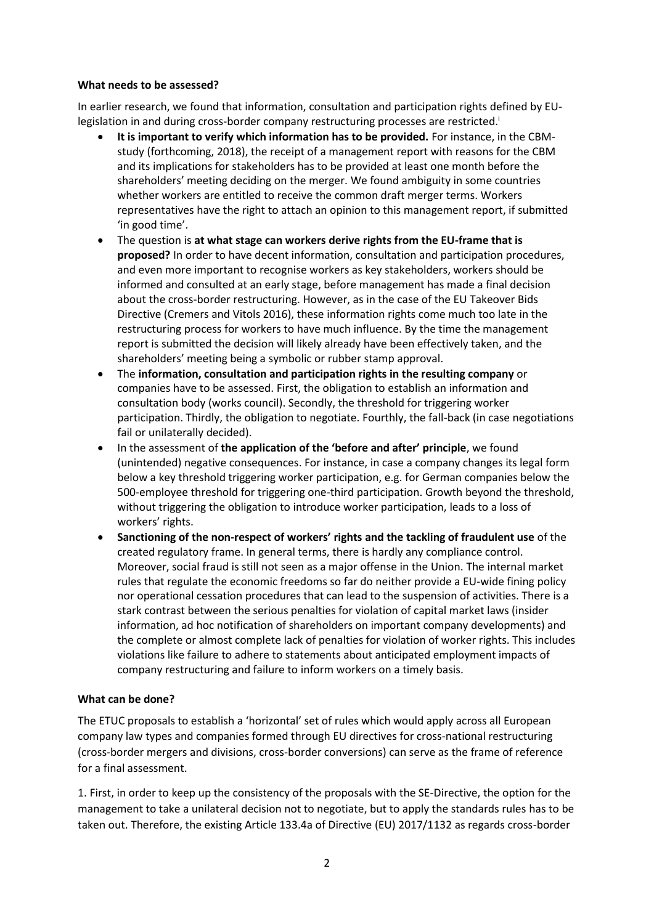#### **What needs to be assessed?**

In earlier research, we found that information, consultation and participation rights defined by EUlegislation in and during cross-border company restructuring processes are restricted.

- **It is important to verify which information has to be provided.** For instance, in the CBMstudy (forthcoming, 2018), the receipt of a management report with reasons for the CBM and its implications for stakeholders has to be provided at least one month before the shareholders' meeting deciding on the merger. We found ambiguity in some countries whether workers are entitled to receive the common draft merger terms. Workers representatives have the right to attach an opinion to this management report, if submitted 'in good time'.
- The question is **at what stage can workers derive rights from the EU-frame that is proposed?** In order to have decent information, consultation and participation procedures, and even more important to recognise workers as key stakeholders, workers should be informed and consulted at an early stage, before management has made a final decision about the cross-border restructuring. However, as in the case of the EU Takeover Bids Directive (Cremers and Vitols 2016), these information rights come much too late in the restructuring process for workers to have much influence. By the time the management report is submitted the decision will likely already have been effectively taken, and the shareholders' meeting being a symbolic or rubber stamp approval.
- The **information, consultation and participation rights in the resulting company** or companies have to be assessed. First, the obligation to establish an information and consultation body (works council). Secondly, the threshold for triggering worker participation. Thirdly, the obligation to negotiate. Fourthly, the fall-back (in case negotiations fail or unilaterally decided).
- In the assessment of **the application of the 'before and after' principle**, we found (unintended) negative consequences. For instance, in case a company changes its legal form below a key threshold triggering worker participation, e.g. for German companies below the 500-employee threshold for triggering one-third participation. Growth beyond the threshold, without triggering the obligation to introduce worker participation, leads to a loss of workers' rights.
- **Sanctioning of the non-respect of workers' rights and the tackling of fraudulent use** of the created regulatory frame. In general terms, there is hardly any compliance control. Moreover, social fraud is still not seen as a major offense in the Union. The internal market rules that regulate the economic freedoms so far do neither provide a EU-wide fining policy nor operational cessation procedures that can lead to the suspension of activities. There is a stark contrast between the serious penalties for violation of capital market laws (insider information, ad hoc notification of shareholders on important company developments) and the complete or almost complete lack of penalties for violation of worker rights. This includes violations like failure to adhere to statements about anticipated employment impacts of company restructuring and failure to inform workers on a timely basis.

## **What can be done?**

The ETUC proposals to establish a 'horizontal' set of rules which would apply across all European company law types and companies formed through EU directives for cross-national restructuring (cross-border mergers and divisions, cross-border conversions) can serve as the frame of reference for a final assessment.

1. First, in order to keep up the consistency of the proposals with the SE-Directive, the option for the management to take a unilateral decision not to negotiate, but to apply the standards rules has to be taken out. Therefore, the existing Article 133.4a of Directive (EU) 2017/1132 as regards cross-border